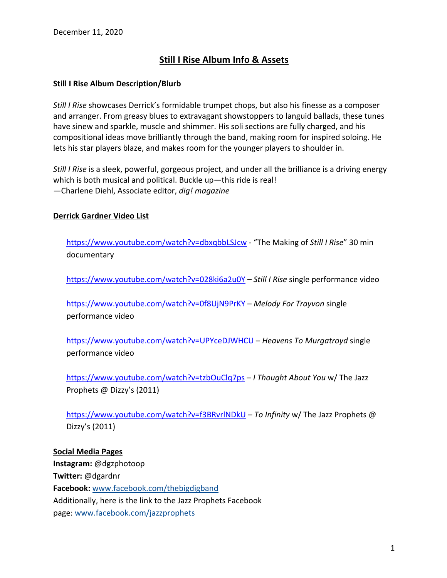# **Still I Rise Album Info & Assets**

### **Still I Rise Album Description/Blurb**

*Still I Rise* showcases Derrick's formidable trumpet chops, but also his finesse as a composer and arranger. From greasy blues to extravagant showstoppers to languid ballads, these tunes have sinew and sparkle, muscle and shimmer. His soli sections are fully charged, and his compositional ideas move brilliantly through the band, making room for inspired soloing. He lets his star players blaze, and makes room for the younger players to shoulder in.

*Still I Rise* is a sleek, powerful, gorgeous project, and under all the brilliance is a driving energy which is both musical and political. Buckle up—this ride is real! —Charlene Diehl, Associate editor, *dig! magazine*

### **Derrick Gardner Video List**

https://www.youtube.com/watch?v=dbxqbbLSJcw - "The Making of *Still I Rise*" 30 min documentary

https://www.youtube.com/watch?v=028ki6a2u0Y – *Still I Rise* single performance video

https://www.youtube.com/watch?v=0f8UjN9PrKY – *Melody For Trayvon* single performance video

https://www.youtube.com/watch?v=UPYceDJWHCU – *Heavens To Murgatroyd* single performance video

https://www.youtube.com/watch?v=tzbOuClq7ps – *I Thought About You* w/ The Jazz Prophets @ Dizzy's (2011)

https://www.youtube.com/watch?v=f3BRvrlNDkU – *To Infinity* w/ The Jazz Prophets @ Dizzy's (2011)

#### **Social Media Pages**

**Instagram:** @dgzphotoop **Twitter:** @dgardnr **Facebook:** www.facebook.com/thebigdigband Additionally, here is the link to the Jazz Prophets Facebook page: www.facebook.com/jazzprophets